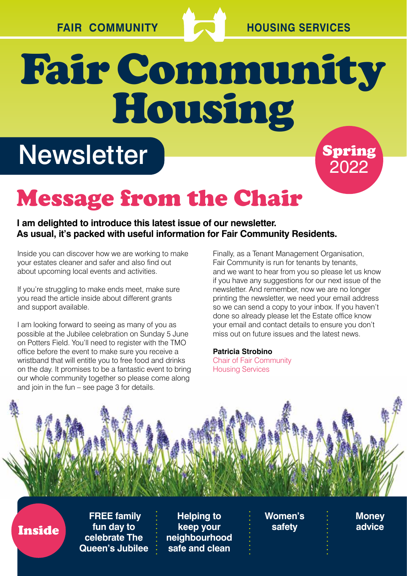

Spring

2022

## Fair Community Housing

### **Newsletter**

### Message from the Chair

#### **I am delighted to introduce this latest issue of our newsletter. As usual, it's packed with useful information for Fair Community Residents.**

Inside you can discover how we are working to make your estates cleaner and safer and also find out about upcoming local events and activities.

If you're struggling to make ends meet, make sure you read the article inside about different grants and support available.

I am looking forward to seeing as many of you as possible at the Jubilee celebration on Sunday 5 June on Potters Field. You'll need to register with the TMO office before the event to make sure you receive a wristband that will entitle you to free food and drinks on the day. It promises to be a fantastic event to bring our whole community together so please come along and join in the fun – see page 3 for details.

Finally, as a Tenant Management Organisation, Fair Community is run for tenants by tenants, and we want to hear from you so please let us know if you have any suggestions for our next issue of the newsletter. And remember, now we are no longer printing the newsletter, we need your email address so we can send a copy to your inbox. If you haven't done so already please let the Estate office know your email and contact details to ensure you don't miss out on future issues and the latest news.

#### **Patricia Strobino**

Chair of Fair Community Housing Services



Inside

 **FREE family fun day to celebrate The Queen's Jubilee** 

**Helping to keep your neighbourhood safe and clean**

**Women's safety** 

**Money advice**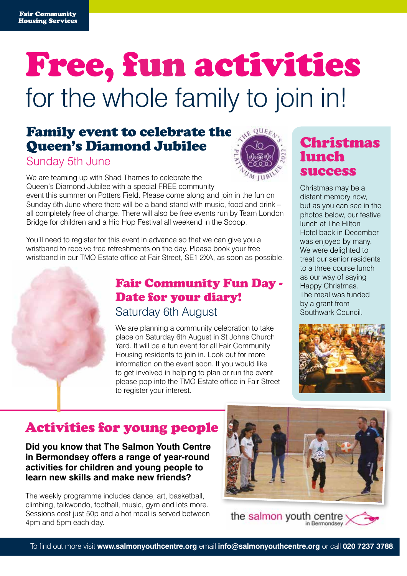## Free, fun activities for the whole family to join in!

### Family event to celebrate the Queen's Diamond Jubilee

#### Sunday 5th June



We are teaming up with Shad Thames to celebrate the Queen's Diamond Jubilee with a special FREE community event this summer on Potters Field. Please come along and join in the fun on

Sunday 5th June where there will be a band stand with music, food and drink – all completely free of charge. There will also be free events run by Team London Bridge for children and a Hip Hop Festival all weekend in the Scoop.

You'll need to register for this event in advance so that we can give you a wristband to receive free refreshments on the day. Please book your free wristband in our TMO Estate office at Fair Street, SE1 2XA, as soon as possible.

### Fair Community Fun Day - Date for your diary! Saturday 6th August

We are planning a community celebration to take place on Saturday 6th August in St Johns Church Yard. It will be a fun event for all Fair Community Housing residents to join in. Look out for more information on the event soon. If you would like to get involved in helping to plan or run the event please pop into the TMO Estate office in Fair Street to register your interest.

### Christmas lunch success

Christmas may be a distant memory now, but as you can see in the photos below, our festive lunch at The Hilton Hotel back in December was enjoyed by many. We were delighted to treat our senior residents to a three course lunch as our way of saying Happy Christmas. The meal was funded by a grant from Southwark Council.



### Activities for young people

**Did you know that The Salmon Youth Centre in Bermondsey offers a range of year-round activities for children and young people to learn new skills and make new friends?** 

The weekly programme includes dance, art, basketball, climbing, taikwondo, football, music, gym and lots more. Sessions cost just 50p and a hot meal is served between 4pm and 5pm each day.



the salmon youth centre n Bermondsey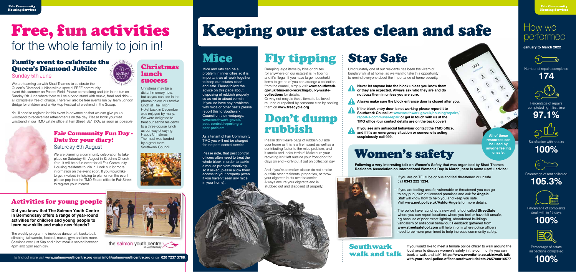## Keeping our estates clean and safe

### Don't dump rubbish

Please don't leave bags of rubbish outside your home as this is a fire hazard as well as a contributing factor to the mice problem, and it smells and looks terrible! Make sure your recycling isn't left outside your front door for days on end – only put it out on collection day.

And if you're a smoker please do not smoke outside other residents' properties, or throw your cigarette butts over balconies. Always ensure your cigarette end is stubbed out and disposed of properly.

### Mice

Mice and rats can be a problem in inner cities so it is important we all work together to keep our estates clean and safe. Please follow the advice on this page about disposing of rubbish properly so as not to attract vermin. If you do have any problems with mice or other pests please report this to Southwark Council on their webpage; **[www.southwark.gov.uk/](https://www.southwark.gov.uk/pest-control/reporting-a-pest-problem) [pest-control/reporting-a](https://www.southwark.gov.uk/pest-control/reporting-a-pest-problem)[pest-problem](https://www.southwark.gov.uk/pest-control/reporting-a-pest-problem)**

Percentage of repairs completed right first time

As a tenant of Fair Community TMO you will not be charged for the pest control service.

Please note, that pest control officers often need to treat the whole block in order to tackle a mouse problem effectively, so if asked, please allow them access to your property (even if you haven't seen any mice in your home).

Dumping large items by bins or chutes (or anywhere on our estates) is fly tipping, and it's illegal! If you have large household items to get rid of you can arrange a collection from the council, simply visit **[www.southwark.](https://www.southwark.gov.uk/bins-and-recycling/bulky-waste-collections) [gov.uk/bins-and-recycling/bulky-waste](https://www.southwark.gov.uk/bins-and-recycling/bulky-waste-collections)[collections](https://www.southwark.gov.uk/bins-and-recycling/bulky-waste-collections)** for details.

## Fly tipping Stay Safe

Or why not recycle these items to be loved, re-used or repaired by someone else by posting them on **www.freecycle.org**

Unfortunately one of our residents has been the victim of burglary whilst at home, so we want to take this opportunity to remind everyone about the importance of home security.

**Never let anyone into the block unless you know them or they are expected. Always ask who they are and do not buzz them in unless you are sure.** 

**Always make sure the block entrance door is closed after you.**

**If the block entry door is not working please report it to Southwark Council at www.southwark.gov.uk/housing/repairs/ report-a-communal-repair or get in touch with us at the TMO office (our contact details are on the back cover)**

**If you see any antisocial behaviour contact the TMO office, and if it's an emergency situation or someone is acting suspiciously call 999.**

> If you would like to meet a female police officer to walk around the local area to discuss women's safety in the community you can book a 'walk and talk' **https://www.eventbrite.co.uk/e/walk-talkwith-your-local-police-officer-southwark-tickets-265780816577**

### Southwark walk and talk

**•** If you are on TFL tube or bus and feel threatened or unsafe call **0343 222 1234**.

**•** If you are feeling unsafe, vulnerable or threatened you can go to any pub, club or licensed premises and ask for **Angela**. Staff will know how to help you and keep you safe. Visit **www.met.police.uk/AskforAngela** for more details.

**•** The police have launched a new online tool called **StreetSafe** where you can report locations where you feel or have felt unsafe, eg because of poor street lighting, abandoned buildings, vandalism or antisocial behaviour. Feedback gathered from **www.streetsafetool.com** will help inform where police officers need to be more prominent to help increase community safety.

### Women's safety

**Following a very interesting talk on Women's Safety that was organised by Shad Thames Residents Association on International Women's Day in March, here is some useful advice:**



**All of these resources can be used by anyone feeling unsafe.**

# $\mathfrak{Z}$  $\hat{\mathcal{C}}^{\circ}$  $\tilde{\mathcal{S}}^{\prime}_{\mathcal{F}}$  $9.1$

### How we performed

**January to March 2022**



Number of repairs completed









Satisfaction with repairs

**100%**



#### Percentage of rent collected





Percentage of complaints dealt with in 15 days





Percentage of estate inspections completed

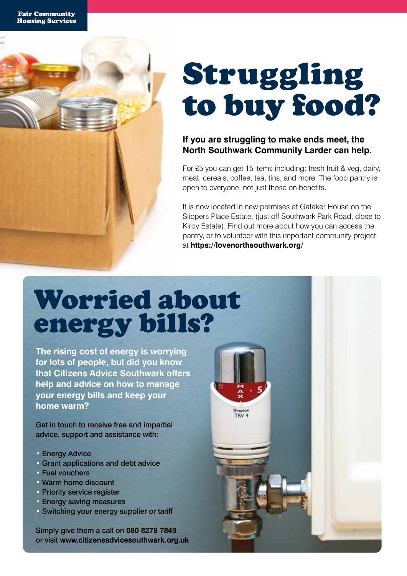## Struggling to buy food?

#### **If you are struggling to make ends meet, the North Southwark Community Larder can help.**

For £5 you can get 15 items including: fresh fruit & veg, dairy, meat, cereals, coffee, tea, tins, and more. The food pantry is open to everyone, not just those on benefits.

It is now located in new premises at Gataker House on the Slippers Place Estate, (just off Southwark Park Road, close to Kirby Estate). Find out more about how you can access the pantry, or to volunteer with this important community project at **https://lovenorthsouthwark.org/**

TRV<sub>4</sub>

### Worried about energy bills?

**The rising cost of energy is worrying for lots of people, but did you know that Citizens Advice Southwark offers help and advice on how to manage your energy bills and keep your home warm?**

Get in touch to receive free and impartial advice, support and assistance with:

- Energy Advice
- Grant applications and debt advice
- Fuel vouchers
- Warm home discount
- Priority service register
- Energy saving measures
- Switching your energy supplier or tariff

Simply give them a call on **080 8278 7849** or visit **www.citizensadvicesouthwark.org.uk**